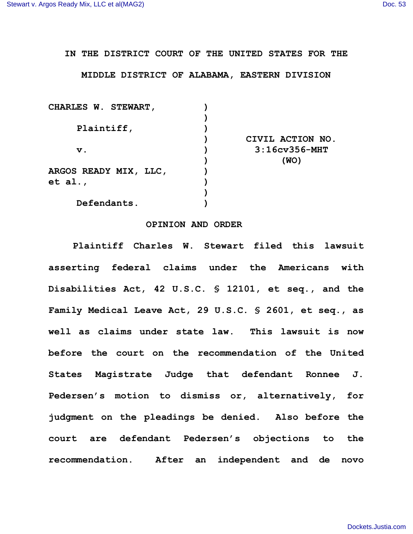## **IN THE DISTRICT COURT OF THE UNITED STATES FOR THE**

## **MIDDLE DISTRICT OF ALABAMA, EASTERN DIVISION**

| <b>CHARLES W. STEWART,</b>   |                      |
|------------------------------|----------------------|
|                              |                      |
| Plaintiff,                   |                      |
|                              | CIVIL ACTION NO.     |
| $\mathbf v$ .                | $3:16$ cv $356$ -MHT |
|                              | (WO)                 |
| <b>ARGOS READY MIX, LLC,</b> |                      |
| et al.,                      |                      |
|                              |                      |
| Defendants.                  |                      |

## **OPINION AND ORDER**

**Plaintiff Charles W. Stewart filed this lawsuit asserting federal claims under the Americans with Disabilities Act, 42 U.S.C. § 12101, et seq., and the Family Medical Leave Act, 29 U.S.C. § 2601, et seq., as well as claims under state law. This lawsuit is now before the court on the recommendation of the United States Magistrate Judge that defendant Ronnee J. Pedersen's motion to dismiss or, alternatively, for judgment on the pleadings be denied. Also before the court are defendant Pedersen's objections to the recommendation. After an independent and de novo**